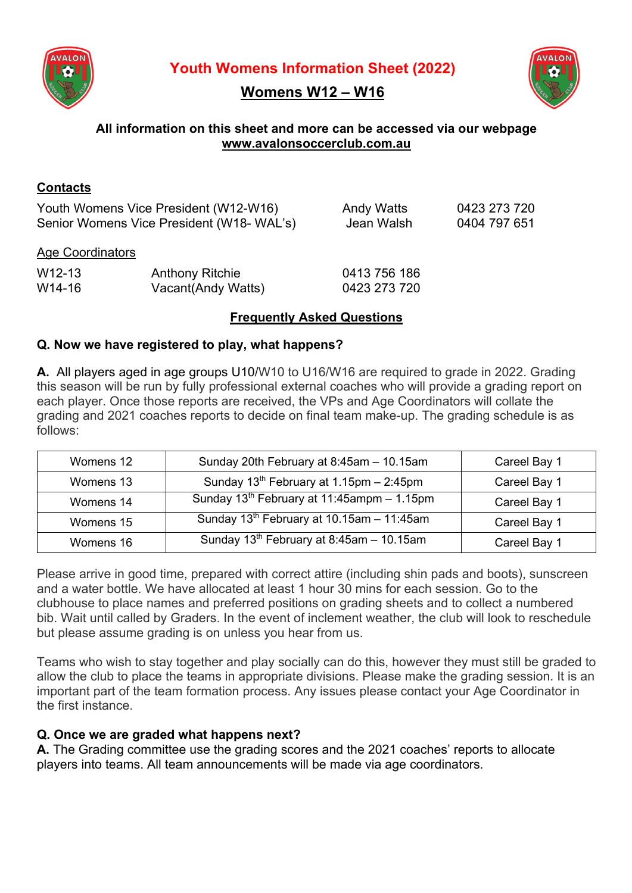

**Youth Womens Information Sheet (2022)**





# **All information on this sheet and more can be accessed via our webpage www.avalonsoccerclub.com.au**

# **Contacts**

Youth Womens Vice President (W12-W16) Andy Watts 0423 273 720 Senior Womens Vice President (W18- WAL's) Jean Walsh 0404 797 651

# Age Coordinators

| $W12-13$ | <b>Anthony Ritchie</b> | 0413 756 186 |
|----------|------------------------|--------------|
| W14-16   | Vacant(Andy Watts)     | 0423 273 720 |

# **Frequently Asked Questions**

# **Q. Now we have registered to play, what happens?**

**A.** All players aged in age groups U10/W10 to U16/W16 are required to grade in 2022. Grading this season will be run by fully professional external coaches who will provide a grading report on each player. Once those reports are received, the VPs and Age Coordinators will collate the grading and 2021 coaches reports to decide on final team make-up. The grading schedule is as follows:

| Womens 12 | Sunday 20th February at 8:45am - 10.15am             | Careel Bay 1 |
|-----------|------------------------------------------------------|--------------|
| Womens 13 | Sunday $13^{th}$ February at 1.15pm - 2:45pm         | Careel Bay 1 |
| Womens 14 | Sunday $13^{th}$ February at 11:45ampm - 1.15pm      | Careel Bay 1 |
| Womens 15 | Sunday $13^{th}$ February at 10.15am - 11:45am       | Careel Bay 1 |
| Womens 16 | Sunday 13 <sup>th</sup> February at 8:45am - 10.15am | Careel Bay 1 |

Please arrive in good time, prepared with correct attire (including shin pads and boots), sunscreen and a water bottle. We have allocated at least 1 hour 30 mins for each session. Go to the clubhouse to place names and preferred positions on grading sheets and to collect a numbered bib. Wait until called by Graders. In the event of inclement weather, the club will look to reschedule but please assume grading is on unless you hear from us.

Teams who wish to stay together and play socially can do this, however they must still be graded to allow the club to place the teams in appropriate divisions. Please make the grading session. It is an important part of the team formation process. Any issues please contact your Age Coordinator in the first instance.

# **Q. Once we are graded what happens next?**

**A.** The Grading committee use the grading scores and the 2021 coaches' reports to allocate players into teams. All team announcements will be made via age coordinators.